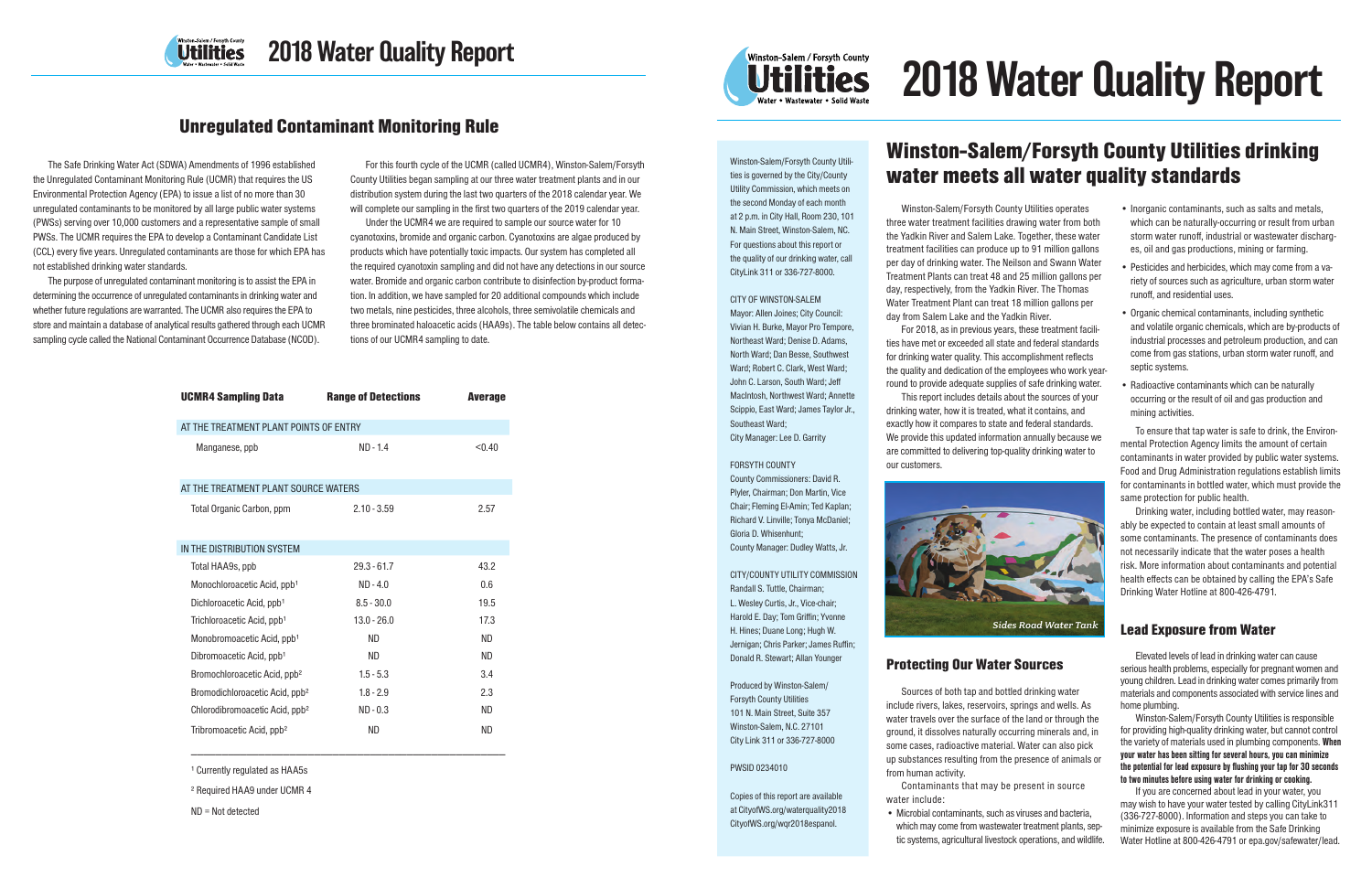

# 2018 Water Quality Report

Winston-Salem/Forsyth County Utilities is governed by the City/County Utility Commission, which meets on the second Monday of each month at 2 p.m. in City Hall, Room 230, 101 N. Main Street, Winston-Salem, NC. For questions about this report or the quality of our drinking water, call CityLink 311 or 336-727-8000.

### CITY OF WINSTON-SALEM

Mayor: Allen Joines; City Council: Vivian H. Burke, Mayor Pro Tempore, Northeast Ward; Denise D. Adams, North Ward; Dan Besse, Southwest Ward; Robert C. Clark, West Ward; John C. Larson, South Ward; Jeff MacIntosh, Northwest Ward; Annette Scippio, East Ward; James Taylor Jr., Southeast Ward; City Manager: Lee D. Garrity

#### FORSYTH COUNTY

County Commissioners: David R. Plyler, Chairman; Don Martin, Vice Chair; Fleming El-Amin; Ted Kaplan; Richard V. Linville; Tonya McDaniel; Gloria D. Whisenhunt; County Manager: Dudley Watts, Jr.

# CITY/COUNTY UTILITY COMMISSION Randall S. Tuttle, Chairman;

L. Wesley Curtis, Jr., Vice-chair; Harold E. Day; Tom Griffin; Yvonne H. Hines; Duane Long; Hugh W. Jernigan; Chris Parker; James Ruffin; Donald R. Stewart; Allan Younger

Produced by Winston-Salem/ Forsyth County Utilities 101 N. Main Street, Suite 357 Winston-Salem, N.C. 27101 City Link 311 or 336-727-8000

# PWSID 0234010

Copies of this report are available at CityofWS.org/waterquality2018 CityofWS.org/wqr2018espanol.

# Winston-Salem/Forsyth County Utilities drinking water meets all water quality standards

Winston-Salem/Forsyth County Utilities operates three water treatment facilities drawing water from both the Yadkin River and Salem Lake. Together, these water treatment facilities can produce up to 91 million gallons per day of drinking water. The Neilson and Swann Water Treatment Plants can treat 48 and 25 million gallons per day, respectively, from the Yadkin River. The Thomas Water Treatment Plant can treat 18 million gallons per day from Salem Lake and the Yadkin River.

For 2018, as in previous years, these treatment facilities have met or exceeded all state and federal standards for drinking water quality. This accomplishment reflects the quality and dedication of the employees who work yearround to provide adequate supplies of safe drinking water.

This report includes details about the sources of your drinking water, how it is treated, what it contains, and exactly how it compares to state and federal standards. We provide this updated information annually because we are committed to delivering top-quality drinking water to our customers.



# Protecting Our Water Sources

Sources of both tap and bottled drinking water include rivers, lakes, reservoirs, springs and wells. As water travels over the surface of the land or through the ground, it dissolves naturally occurring minerals and, in some cases, radioactive material. Water can also pick up substances resulting from the presence of animals or from human activity.

Contaminants that may be present in source water include:

• Microbial contaminants, such as viruses and bacteria, which may come from wastewater treatment plants, septic systems, agricultural livestock operations, and wildlife.

- Inorganic contaminants, such as salts and metals, which can be naturally-occurring or result from urban storm water runoff, industrial or wastewater discharges, oil and gas productions, mining or farming.
- Pesticides and herbicides, which may come from a variety of sources such as agriculture, urban storm water runoff, and residential uses.
- Organic chemical contaminants, including synthetic and volatile organic chemicals, which are by-products of industrial processes and petroleum production, and can come from gas stations, urban storm water runoff, and septic systems.
- Radioactive contaminants which can be naturally occurring or the result of oil and gas production and mining activities.

To ensure that tap water is safe to drink, the Environmental Protection Agency limits the amount of certain contaminants in water provided by public water systems. Food and Drug Administration regulations establish limits for contaminants in bottled water, which must provide the same protection for public health.

Drinking water, including bottled water, may reasonably be expected to contain at least small amounts of some contaminants. The presence of contaminants does not necessarily indicate that the water poses a health risk. More information about contaminants and potential health effects can be obtained by calling the EPA's Safe Drinking Water Hotline at 800-426-4791.

# Lead Exposure from Water

Elevated levels of lead in drinking water can cause serious health problems, especially for pregnant women and young children. Lead in drinking water comes primarily from materials and components associated with service lines and home plumbing.

Winston-Salem/Forsyth County Utilities is responsible for providing high-quality drinking water, but cannot control the variety of materials used in plumbing components. When your water has been sitting for several hours, you can minimize the potential for lead exposure by flushing your tap for 30 seconds to two minutes before using water for drinking or cooking.

If you are concerned about lead in your water, you may wish to have your water tested by calling CityLink311 (336-727-8000). Information and steps you can take to minimize exposure is available from the Safe Drinking Water Hotline at 800-426-4791 or epa.gov/safewater/lead.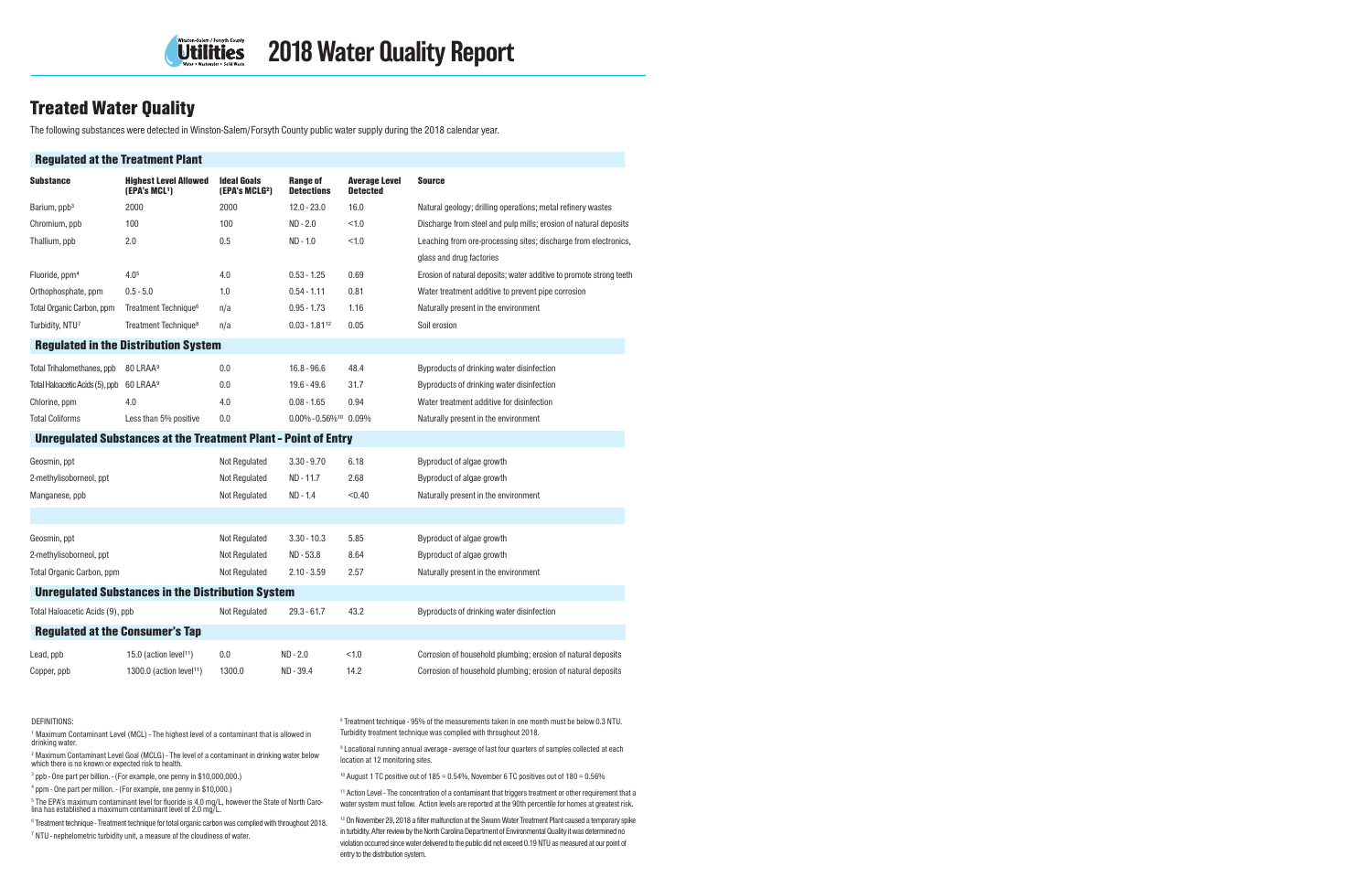

# **Treated Water Quality**

The following substances were detected in Winston-Salem/Forsyth County public water supply during the 2018 calendar year.

| <b>Regulated at the Treatment Plant</b>                               |                                                           |                                                  |                                       |                                         |                                                                     |  |  |
|-----------------------------------------------------------------------|-----------------------------------------------------------|--------------------------------------------------|---------------------------------------|-----------------------------------------|---------------------------------------------------------------------|--|--|
| <b>Substance</b>                                                      | <b>Highest Level Allowed</b><br>(EPA's MCL <sup>1</sup> ) | <b>Ideal Goals</b><br>(EPA's MCLG <sup>2</sup> ) | <b>Range of</b><br><b>Detections</b>  | <b>Average Level</b><br><b>Detected</b> | Source                                                              |  |  |
| Barium, ppb <sup>3</sup>                                              | 2000                                                      | 2000                                             | $12.0 - 23.0$                         | 16.0                                    | Natural geology; drilling operations; metal refinery wastes         |  |  |
| Chromium, ppb                                                         | 100                                                       | 100                                              | $ND - 2.0$                            | < 1.0                                   | Discharge from steel and pulp mills; erosion of natural deposits    |  |  |
| Thallium, ppb                                                         | 2.0                                                       | 0.5                                              | $ND - 1.0$                            | < 1.0                                   | Leaching from ore-processing sites; discharge from electronics,     |  |  |
|                                                                       |                                                           |                                                  |                                       |                                         | glass and drug factories                                            |  |  |
| Fluoride, ppm <sup>4</sup>                                            | 4.0 <sup>5</sup>                                          | 4.0                                              | $0.53 - 1.25$                         | 0.69                                    | Erosion of natural deposits; water additive to promote strong teeth |  |  |
| Orthophosphate, ppm                                                   | $0.5 - 5.0$                                               | 1.0                                              | $0.54 - 1.11$                         | 0.81                                    | Water treatment additive to prevent pipe corrosion                  |  |  |
| Total Organic Carbon, ppm                                             | Treatment Technique <sup>6</sup>                          | n/a                                              | $0.95 - 1.73$                         | 1.16                                    | Naturally present in the environment                                |  |  |
| Turbidity, NTU7                                                       | Treatment Technique <sup>8</sup>                          | n/a                                              | $0.03 - 1.8112$                       | 0.05                                    | Soil erosion                                                        |  |  |
|                                                                       | <b>Regulated in the Distribution System</b>               |                                                  |                                       |                                         |                                                                     |  |  |
| Total Trihalomethanes, ppb                                            | 80 LRAA <sup>9</sup>                                      | 0.0                                              | $16.8 - 96.6$                         | 48.4                                    | Byproducts of drinking water disinfection                           |  |  |
| Total Haloacetic Acids (5), ppb                                       | 60 LRAA <sup>9</sup>                                      | 0.0                                              | $19.6 - 49.6$                         | 31.7                                    | Byproducts of drinking water disinfection                           |  |  |
| Chlorine, ppm                                                         | 4.0                                                       | 4.0                                              | $0.08 - 1.65$                         | 0.94                                    | Water treatment additive for disinfection                           |  |  |
| <b>Total Coliforms</b>                                                | Less than 5% positive                                     | 0.0                                              | $0.00\% - 0.56\%$ <sup>10</sup> 0.09% |                                         | Naturally present in the environment                                |  |  |
| <b>Unregulated Substances at the Treatment Plant - Point of Entry</b> |                                                           |                                                  |                                       |                                         |                                                                     |  |  |
| Geosmin, ppt                                                          |                                                           | <b>Not Regulated</b>                             | $3.30 - 9.70$                         | 6.18                                    | Byproduct of algae growth                                           |  |  |
| 2-methylisoborneol, ppt                                               |                                                           | <b>Not Regulated</b>                             | ND - 11.7                             | 2.68                                    | Byproduct of algae growth                                           |  |  |
| Manganese, ppb                                                        |                                                           | <b>Not Regulated</b>                             | ND - 1.4                              | < 0.40                                  | Naturally present in the environment                                |  |  |
|                                                                       |                                                           |                                                  |                                       |                                         |                                                                     |  |  |
| Geosmin, ppt                                                          |                                                           | Not Regulated                                    | $3.30 - 10.3$                         | 5.85                                    | Byproduct of algae growth                                           |  |  |
| 2-methylisoborneol, ppt                                               |                                                           | Not Regulated                                    | ND-53.8                               | 8.64                                    | Byproduct of algae growth                                           |  |  |
| Total Organic Carbon, ppm                                             |                                                           | <b>Not Regulated</b>                             | $2.10 - 3.59$                         | 2.57                                    | Naturally present in the environment                                |  |  |
|                                                                       | <b>Unregulated Substances in the Distribution System</b>  |                                                  |                                       |                                         |                                                                     |  |  |
| Total Haloacetic Acids (9), ppb                                       |                                                           | <b>Not Regulated</b>                             | $29.3 - 61.7$                         | 43.2                                    | Byproducts of drinking water disinfection                           |  |  |
| <b>Regulated at the Consumer's Tap</b>                                |                                                           |                                                  |                                       |                                         |                                                                     |  |  |
| Lead, ppb                                                             | 15.0 (action level <sup>11</sup> )                        | 0.0                                              | $ND - 2.0$                            | < 1.0                                   | Corrosion of household plumbing; erosion of natural deposits        |  |  |
| Copper, ppb                                                           | 1300.0 (action level <sup>11</sup> )                      | 1300.0                                           | ND - 39.4                             | 14.2                                    | Corrosion of household plumbing; erosion of natural deposits        |  |  |

#### DEFINITIONS:

<sup>1</sup> Maximum Contaminant Level (MCL) - The highest level of a contaminant that is allowed in drinking water.

<sup>2</sup> Maximum Contaminant Level Goal (MCLG) - The level of a contaminant in drinking water below which there is no known or expected risk to health.

3 ppb - One part per billion. - (For example, one penny in \$10,000,000.)

4 ppm - One part per million. - (For example, one penny in \$10,000.)

5 The EPA's maximum contaminant level for fluoride is 4.0 mg/L, however the State of North Caro-lina has established a maximum contaminant level of 2.0 mg/L.

<sup>6</sup> Treatment technique - Treatment technique for total organic carbon was complied with throughout 2018.

<sup>7</sup> NTU - nephelometric turbidity unit, a measure of the cloudiness of water.

<sup>8</sup> Treatment technique - 95% of the measurements taken in one month must be below 0.3 NTU. Turbidity treatment technique was complied with throughout 2018.

9 Locational running annual average - average of last four quarters of samples collected at each location at 12 monitoring sites.

 $10$  August 1 TC positive out of 185 = 0.54%, November 6 TC positives out of 180 = 0.56%

<sup>11</sup> Action Level - The concentration of a contaminant that triggers treatment or other requirement that a water system must follow. Action levels are reported at the 90th percentile for homes at greatest risk.

<sup>12</sup> On November 29, 2018 a filter malfunction at the Swann Water Treatment Plant caused a temporary spike in turbidity. After review by the North Carolina Department of Environmental Quality it was determined no violation occurred since water delivered to the public did not exceed 0.19 NTU as measured at our point of entry to the distribution system.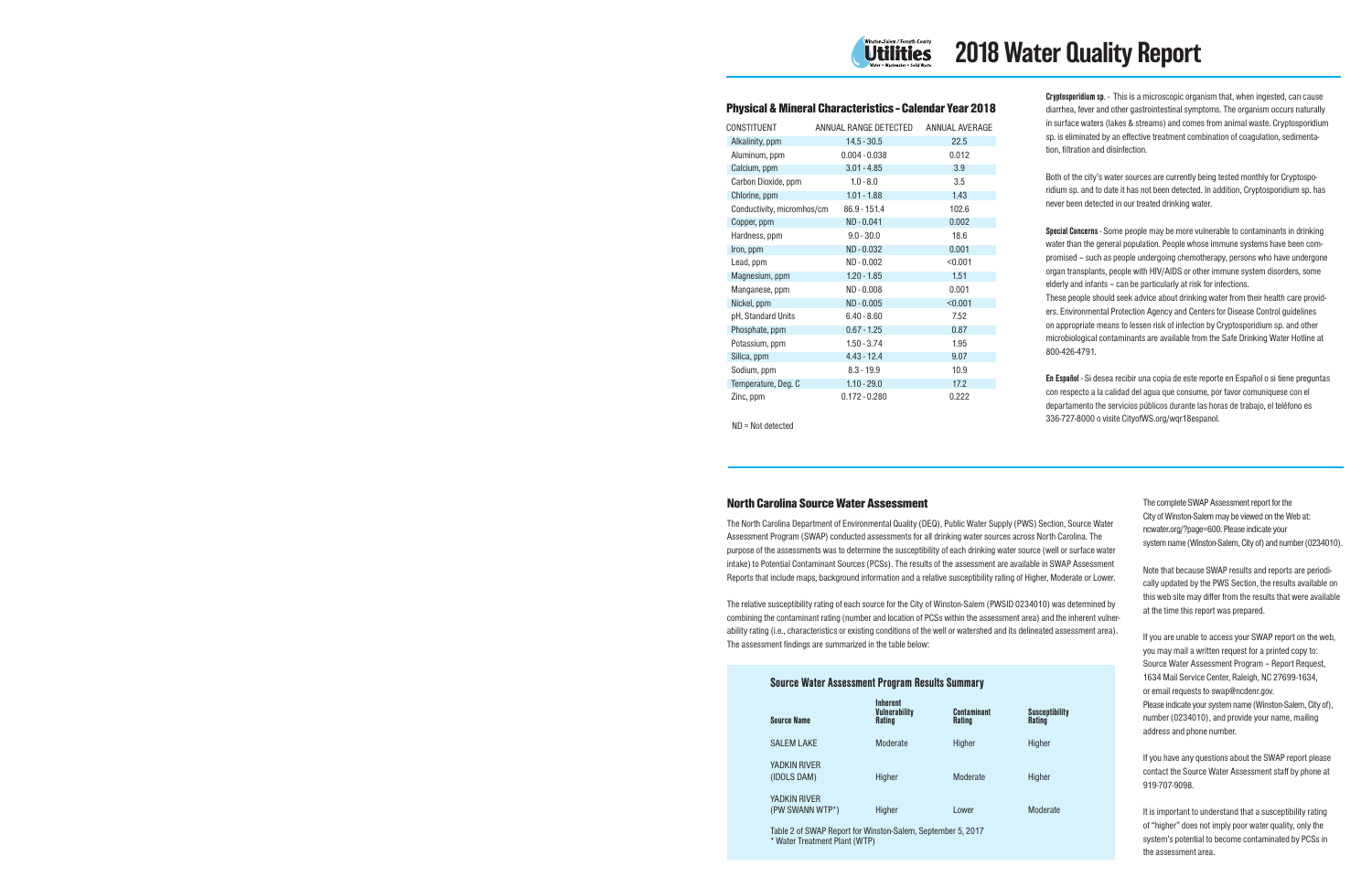

# Physical & Mineral Characteristics - Calendar Year 2018

| CONSTITUENT                | ANNUAL RANGE DETECTED | ANNUAL AVERAGE |
|----------------------------|-----------------------|----------------|
| Alkalinity, ppm            | $14.5 - 30.5$         | 22.5           |
| Aluminum, ppm              | $0.004 - 0.038$       | 0.012          |
| Calcium, ppm               | $3.01 - 4.85$         | 3.9            |
| Carbon Dioxide, ppm        | $1.0 - 8.0$           | 3.5            |
| Chlorine, ppm              | $1.01 - 1.88$         | 1.43           |
| Conductivity, micromhos/cm | 86.9 - 151.4          | 102.6          |
| Copper, ppm                | ND - 0.041            | 0.002          |
| Hardness, ppm              | $9.0 - 30.0$          | 18.6           |
| Iron, ppm                  | ND - 0.032            | 0.001          |
| Lead, ppm                  | ND - 0.002            | < 0.001        |
| Magnesium, ppm             | $1.20 - 1.85$         | 1.51           |
| Manganese, ppm             | $ND - 0.008$          | 0.001          |
| Nickel, ppm                | ND - 0.005            | < 0.001        |
| pH, Standard Units         | $6.40 - 8.60$         | 7.52           |
| Phosphate, ppm             | $0.67 - 1.25$         | 0.87           |
| Potassium, ppm             | $1.50 - 3.74$         | 1.95           |
| Silica, ppm                | $4.43 - 12.4$         | 9.07           |
| Sodium, ppm                | $8.3 - 19.9$          | 10.9           |
| Temperature, Deg. C        | $1.10 - 29.0$         | 17.2           |
| Zinc, ppm                  | $0.172 - 0.280$       | 0.222          |

Cryptosporidium sp. - This is a microscopic organism that, when ingested, can cause diarrhea, fever and other gastrointestinal symptoms. The organism occurs naturally in surface waters (lakes & streams) and comes from animal waste. Cryptosporidium sp. is eliminated by an effective treatment combination of coagulation, sedimentation, filtration and disinfection.

Both of the city's water sources are currently being tested monthly for Cryptosporidium sp. and to date it has not been detected. In addition, Cryptosporidium sp. has never been detected in our treated drinking water.

Special Concerns - Some people may be more vulnerable to contaminants in drinking water than the general population. People whose immune systems have been compromised – such as people undergoing chemotherapy, persons who have undergone organ transplants, people with HIV/AIDS or other immune system disorders, some elderly and infants – can be particularly at risk for infections.

These people should seek advice about drinking water from their health care providers. Environmental Protection Agency and Centers for Disease Control guidelines on appropriate means to lessen risk of infection by Cryptosporidium sp. and other microbiological contaminants are available from the Safe Drinking Water Hotline at 800-426-4791.

En Español - Si desea recibir una copia de este reporte en Español o si tiene preguntas con respecto a la calidad del agua que consume, por favor comuniquese con el departamento the servicios públicos durante las horas de trabajo, el teléfono es 336-727-8000 o visite CityofWS.org/wqr18espanol.

#### ND = Not detected

# North Carolina Source Water Assessment

The North Carolina Department of Environmental Quality (DEQ), Public Water Supply (PWS) Section, Source Water Assessment Program (SWAP) conducted assessments for all drinking water sources across North Carolina. The purpose of the assessments was to determine the susceptibility of each drinking water source (well or surface water intake) to Potential Contaminant Sources (PCSs). The results of the assessment are available in SWAP Assessment Reports that include maps, background information and a relative susceptibility rating of Higher, Moderate or Lower.

The relative susceptibility rating of each source for the City of Winston-Salem (PWSID 0234010) was determined by combining the contaminant rating (number and location of PCSs within the assessment area) and the inherent vulnerability rating (i.e., characteristics or existing conditions of the well or watershed and its delineated assessment area). The assessment findings are summarized in the table below:

# Source Water Assessment Program Results Summary

| <b>Source Name</b>              | <b>Inherent</b><br><b>Vulnerability</b><br><b>Rating</b> | <b>Contaminant</b><br><b>Rating</b> | <b>Susceptibility</b><br><b>Rating</b> |
|---------------------------------|----------------------------------------------------------|-------------------------------------|----------------------------------------|
| <b>SALEM LAKE</b>               | Moderate                                                 | Higher                              | Higher                                 |
| YADKIN RIVER<br>(IDOLS DAM)     | Higher                                                   | Moderate                            | Higher                                 |
| YADKIN RIVER<br>(PW SWANN WTP*) | Higher                                                   | Lower                               | Moderate                               |

Table 2 of SWAP Report for Winston-Salem, September 5, 2017 \* Water Treatment Plant (WTP)

The complete SWAP Assessment report for the City of Winston-Salem may be viewed on the Web at: ncwater.org/?page=600. Please indicate your system name (Winston-Salem, City of) and number (0234010).

Note that because SWAP results and reports are periodically updated by the PWS Section, the results available on this web site may differ from the results that were available at the time this report was prepared.

If you are unable to access your SWAP report on the web, you may mail a written request for a printed copy to: Source Water Assessment Program – Report Request, 1634 Mail Service Center, Raleigh, NC 27699-1634, or email requests to swap@ncdenr.gov. Please indicate your system name (Winston-Salem, City of), number (0234010), and provide your name, mailing address and phone number.

If you have any questions about the SWAP report please contact the Source Water Assessment staff by phone at 919-707-9098.

It is important to understand that a susceptibility rating of "higher" does not imply poor water quality, only the system's potential to become contaminated by PCSs in the assessment area.